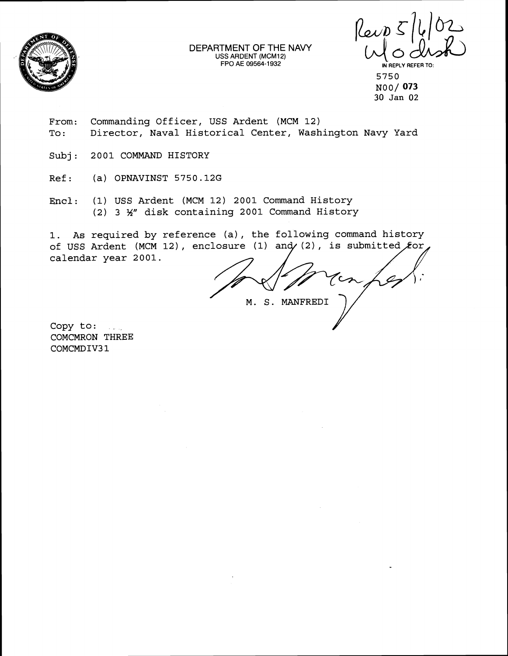

DEPARTMENT OF THE NAVY USS ARDENT (MCM12) FPO **AE 09564-1 932** ' **LN REPLY REFER** TO:

 $\n *l*ewp<sub>5</sub> *l*l<sub>6</sub>\n *l*l<sub>7</sub>\n *l*u<sub>8</sub> *l*l<sub>9</sub>\n$  $\frac{102}{2}$ 

5750 NOO/ 073 **30 Jan** 02

- From: Commanding Officer, USS Ardent (MCM 12) To: Director, Naval Historical Center, Washington Navy Yard
- Subj: 2001 COMMAND HISTORY
- Ref: (a) OPNAVINST 5750.12G
- Encl: (1) USS Ardent (MCM 12) 2001 Command History (2) 3 **54"** disk containing 2001 Command History

1. As required by reference (a), the following command history of USS Ardent (MCM 12), enclosure (1) and (2), is submitted  $f$ or calendar year 2001.

M. S. MANFRED1

Copy to: COMCMRON THREE COMCMDIV3 1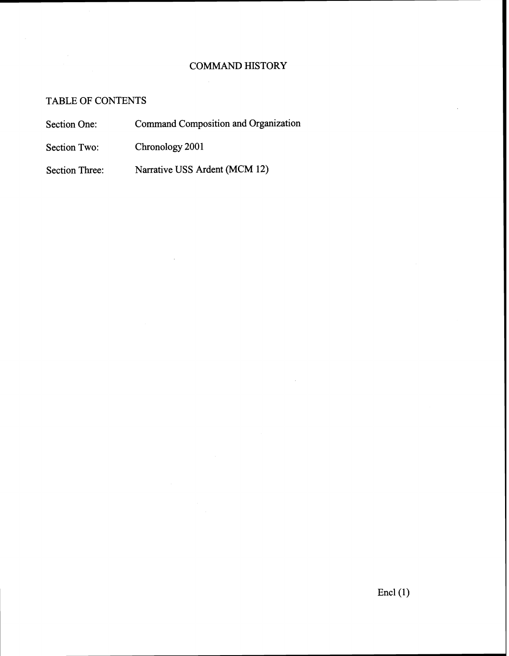# COMMAND HISTORY

# TABLE OF CONTENTS

- Section One: Command Composition and Organization
- Section Two: Chronology 2001

Section Three: Narrative USS Ardent (MCM 12)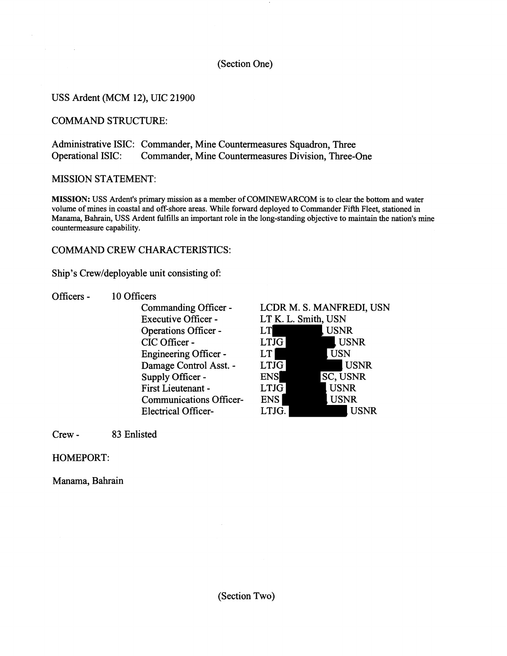### (Section One)

## USS Ardent (MCM 12), UIC 21900

### COMMAND STRUCTURE:

 $\sim 100$ 

Administrative ISIC: Commander, Mine Countermeasures Squadron, Three Operational ISIC: Commander, Mine Countermeasures Division, Three-One

#### MISSION STATEMENT:

**MISSION:** USS Ardent's primary mission as a member of COMINEWARCOM is to clear the bottom and water volume of mines in coastal and off-shore areas. While forward deployed to Commander Fifth Fleet, stationed in Manama, Bahrain, USS Ardent fulfills an important role in the long-standing objective to maintain the nation's mine countermeasure capability.

#### COMMAND CREW CHARACTERISTICS:

Ship's Crew/deployable unit consisting of:

- Officers 10 Officers
	- Commanding Officer Executive Officer - Operations Officer - CIC Officer -Engineering Officer - Damage Control Asst. - Supply Officer - First Lieutenant - Communications Officer-Electrical Officer-

## LCDR M. S. MANFREDI, USN LT K. L. Smith, USN LT , USNR  $LT\overline{JG}$ , USNR LT USN LTJG USNR

| <b>ENS</b>  | <b>SC, USNR</b> |             |
|-------------|-----------------|-------------|
| <b>LTJG</b> | <b>USNR</b>     |             |
| ENS.        | <b>USNR</b>     |             |
| LTJG.       |                 | <b>USNR</b> |

Crew - **83** Enlisted

## HOMEPORT:

Manama, Bahrain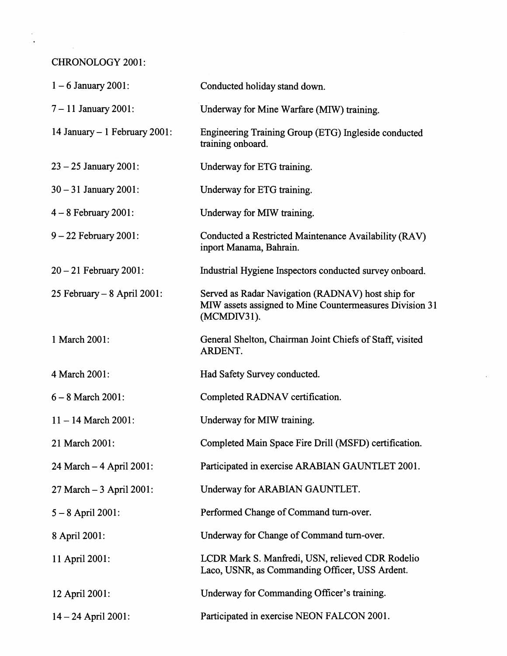CHRONOLOGY 2001:

| $1 - 6$ January 2001:         | Conducted holiday stand down.                                                                                               |
|-------------------------------|-----------------------------------------------------------------------------------------------------------------------------|
| $7 - 11$ January 2001:        | Underway for Mine Warfare (MIW) training.                                                                                   |
| 14 January - 1 February 2001: | Engineering Training Group (ETG) Ingleside conducted<br>training onboard.                                                   |
| $23 - 25$ January 2001:       | Underway for ETG training.                                                                                                  |
| $30 - 31$ January 2001:       | Underway for ETG training.                                                                                                  |
| $4 - 8$ February 2001:        | Underway for MIW training.                                                                                                  |
| $9 - 22$ February 2001:       | Conducted a Restricted Maintenance Availability (RAV)<br>inport Manama, Bahrain.                                            |
| $20 - 21$ February 2001:      | Industrial Hygiene Inspectors conducted survey onboard.                                                                     |
| 25 February - 8 April 2001:   | Served as Radar Navigation (RADNAV) host ship for<br>MIW assets assigned to Mine Countermeasures Division 31<br>(MCMDIV31). |
| 1 March 2001:                 | General Shelton, Chairman Joint Chiefs of Staff, visited<br>ARDENT.                                                         |
| 4 March 2001:                 | Had Safety Survey conducted.                                                                                                |
| $6 - 8$ March 2001:           | Completed RADNAV certification.                                                                                             |
| $11 - 14$ March 2001:         | Underway for MIW training.                                                                                                  |
| 21 March 2001:                | Completed Main Space Fire Drill (MSFD) certification.                                                                       |
| 24 March - 4 April 2001:      | Participated in exercise ARABIAN GAUNTLET 2001.                                                                             |
| $27$ March $-3$ April 2001:   | Underway for ARABIAN GAUNTLET.                                                                                              |
| $5 - 8$ April 2001:           | Performed Change of Command turn-over.                                                                                      |
| 8 April 2001:                 | Underway for Change of Command turn-over.                                                                                   |
| 11 April 2001:                | LCDR Mark S. Manfredi, USN, relieved CDR Rodelio<br>Laco, USNR, as Commanding Officer, USS Ardent.                          |
| 12 April 2001:                | Underway for Commanding Officer's training.                                                                                 |
| $14 - 24$ April 2001:         | Participated in exercise NEON FALCON 2001.                                                                                  |

 $\epsilon$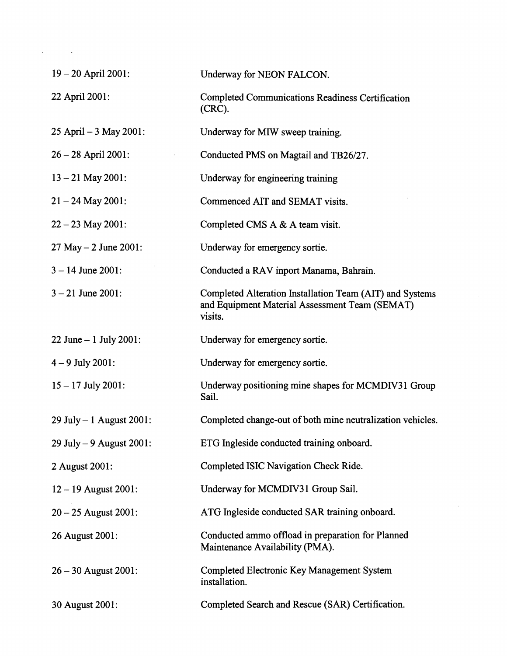| $19 - 20$ April 2001:     | Underway for NEON FALCON.                                                                                             |
|---------------------------|-----------------------------------------------------------------------------------------------------------------------|
| 22 April 2001:            | <b>Completed Communications Readiness Certification</b><br>$(CRC)$ .                                                  |
| 25 April - 3 May 2001:    | Underway for MIW sweep training.                                                                                      |
| $26 - 28$ April 2001:     | Conducted PMS on Magtail and TB26/27.                                                                                 |
| $13 - 21$ May 2001:       | Underway for engineering training                                                                                     |
| $21 - 24$ May 2001:       | Commenced AIT and SEMAT visits.                                                                                       |
| $22 - 23$ May 2001:       | Completed CMS A & A team visit.                                                                                       |
| $27$ May $- 2$ June 2001: | Underway for emergency sortie.                                                                                        |
| $3 - 14$ June 2001:       | Conducted a RAV inport Manama, Bahrain.                                                                               |
| $3 - 21$ June 2001:       | Completed Alteration Installation Team (AIT) and Systems<br>and Equipment Material Assessment Team (SEMAT)<br>visits. |
| 22 June $-1$ July 2001:   | Underway for emergency sortie.                                                                                        |
| $4 - 9$ July 2001:        | Underway for emergency sortie.                                                                                        |
| $15 - 17$ July 2001:      | Underway positioning mine shapes for MCMDIV31 Group<br>Sail.                                                          |
| 29 July - 1 August 2001:  | Completed change-out of both mine neutralization vehicles.                                                            |
| 29 July $-9$ August 2001: | ETG Ingleside conducted training onboard.                                                                             |
| 2 August 2001:            | Completed ISIC Navigation Check Ride.                                                                                 |
| $12 - 19$ August 2001:    | Underway for MCMDIV31 Group Sail.                                                                                     |
| $20 - 25$ August 2001:    | ATG Ingleside conducted SAR training onboard.                                                                         |
| 26 August 2001:           | Conducted ammo offload in preparation for Planned<br>Maintenance Availability (PMA).                                  |
| $26 - 30$ August 2001:    | Completed Electronic Key Management System<br>installation.                                                           |
| 30 August 2001:           | Completed Search and Rescue (SAR) Certification.                                                                      |

 $\mathcal{L}(\mathcal{L}^{\text{max}})$  and  $\mathcal{L}^{\text{max}}$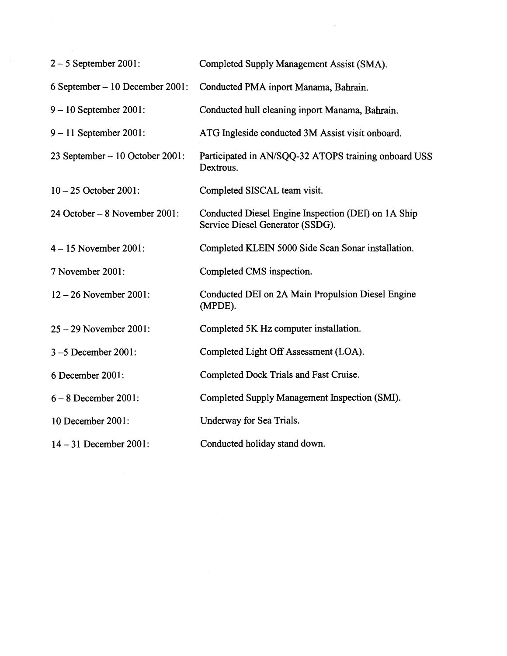| $2 - 5$ September 2001:         | Completed Supply Management Assist (SMA).                                               |
|---------------------------------|-----------------------------------------------------------------------------------------|
| 6 September – 10 December 2001: | Conducted PMA inport Manama, Bahrain.                                                   |
| $9 - 10$ September 2001:        | Conducted hull cleaning inport Manama, Bahrain.                                         |
| $9 - 11$ September 2001:        | ATG Ingleside conducted 3M Assist visit onboard.                                        |
| 23 September – 10 October 2001: | Participated in AN/SQQ-32 ATOPS training onboard USS<br>Dextrous.                       |
| $10 - 25$ October 2001:         | Completed SISCAL team visit.                                                            |
| 24 October – 8 November 2001:   | Conducted Diesel Engine Inspection (DEI) on 1A Ship<br>Service Diesel Generator (SSDG). |
| $4 - 15$ November 2001:         | Completed KLEIN 5000 Side Scan Sonar installation.                                      |
| 7 November 2001:                | Completed CMS inspection.                                                               |
| $12 - 26$ November 2001:        | Conducted DEI on 2A Main Propulsion Diesel Engine<br>(MPDE).                            |
| 25 - 29 November 2001:          | Completed 5K Hz computer installation.                                                  |
| 3-5 December 2001:              | Completed Light Off Assessment (LOA).                                                   |
| 6 December 2001:                | Completed Dock Trials and Fast Cruise.                                                  |
| $6 - 8$ December 2001:          | Completed Supply Management Inspection (SMI).                                           |
| 10 December 2001:               | Underway for Sea Trials.                                                                |
| $14 - 31$ December 2001:        | Conducted holiday stand down.                                                           |
|                                 |                                                                                         |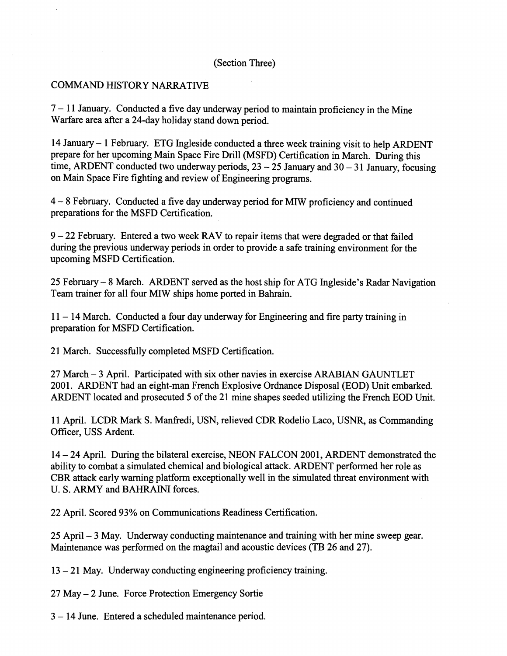#### (Section Three)

#### COMMAND HISTORY NARRATIVE

 $7 - 11$  January. Conducted a five day underway period to maintain proficiency in the Mine Warfare area after a 24-day holiday stand down period.

14 January - 1 February. ETG Ingleside conducted a three week training visit to help ARDENT prepare for her upcoming Main Space Fire Drill (MSFD) Certification in March. During this time, ARDENT conducted two underway periods,  $23 - 25$  January and  $30 - 31$  January, focusing on Main Space Fire fighting and review of Engineering programs.

<sup>4</sup>- 8 February. Conducted a five day underway period for MIW proficiency and continued preparations for the MSFD Certification.

 $9 - 22$  February. Entered a two week RAV to repair items that were degraded or that failed during the previous underway periods in order to provide a safe training environment for the upcoming MSFD Certification.

25 February - 8 March. ARDENT served as the host ship for ATG Ingleside's Radar Navigation Team trainer for all four MIW ships home ported in Bahrain.

 $11 - 14$  March. Conducted a four day underway for Engineering and fire party training in preparation for MSFD Certification.

21 March. Successfully completed MSFD Certification.

27 March - **3** April. Participated with six other navies in exercise ARABIAN GAUNTLET 2001. ARDENT had an eight-man French Explosive Ordnance Disposal (EOD) Unit embarked. ARDENT located and prosecuted 5 of the 21 mine shapes seeded utilizing the French EOD Unit.

11 April. LCDR Mark S. Manfredi, USN, relieved CDR Rodelio Laco, USNR, as Commanding Officer, USS Ardent.

<sup>14</sup>- 24 April. During the bilateral exercise, NEON FALCON 2001, ARDENT demonstrated the ability to combat a simulated chemical and biological attack. ARDENT performed her role as CBR attack early warning platform exceptionally well in the simulated threat environment with U. S. ARMY and BAHRAINI forces.

22 April. Scored 93% on Communications Readiness Certification.

25 April - 3 May. Underway conducting maintenance and training with her mine sweep gear. Maintenance was performed on the magtail and acoustic devices (TB 26 and 27).

 $13 - 21$  May. Underway conducting engineering proficiency training.

27 May - 2 June. Force Protection Emergency Sortie

**3** - 14 June. Entered a scheduled maintenance period.